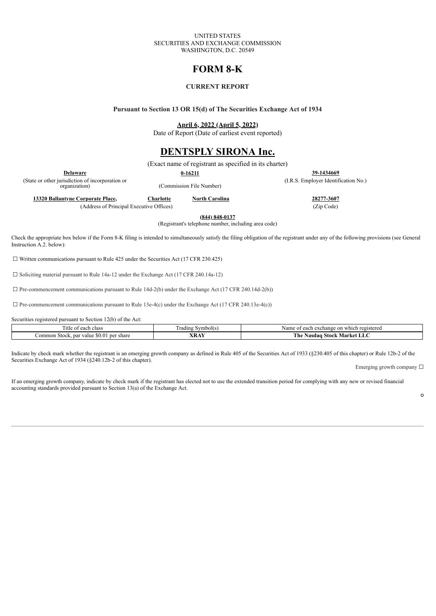#### UNITED STATES SECURITIES AND EXCHANGE COMMISSION WASHINGTON, D.C. 20549

# **FORM 8-K**

### **CURRENT REPORT**

**Pursuant to Section 13 OR 15(d) of The Securities Exchange Act of 1934**

**April 6, 2022 (April 5, 2022)**

Date of Report (Date of earliest event reported)

### **DENTSPLY SIRONA Inc.**

(Exact name of registrant as specified in its charter)

**Delaware 0-16211 39-1434669**

(State or other jurisdiction of incorporation or<br>organization)

(Commission File Number)

**13320 Ballantyne Corporate Place, Charlotte North Carolina 28277-3607**

(Address of Principal Executive Offices) (Zip Code)

(I.R.S. Employer Identification No.)

**(844) 848-0137**

(Registrant's telephone number, including area code)

Check the appropriate box below if the Form 8-K filing is intended to simultaneously satisfy the filing obligation of the registrant under any of the following provisions (see General Instruction A.2. below):

☐ Written communications pursuant to Rule 425 under the Securities Act (17 CFR 230.425)

☐ Soliciting material pursuant to Rule 14a-12 under the Exchange Act (17 CFR 240.14a-12)

 $\Box$  Pre-commencement communications pursuant to Rule 14d-2(b) under the Exchange Act (17 CFR 240.14d-2(b))

 $\Box$  Pre-commencement communications pursuant to Rule 13e-4(c) under the Exchange Act (17 CFR 240.13e-4(c))

Securities registered pursuant to Section 12(b) of the Act:

| each class<br>nue<br>ΩI                                    | Symbol(s)<br>radıng | e on which registered<br>i exchange<br>$\Delta$ $\Omega$<br>$. \nightharpoonup$<br>AN ALLIN |
|------------------------------------------------------------|---------------------|---------------------------------------------------------------------------------------------|
| per<br>share<br>Common<br>. par<br>value<br>Stock.<br>DU.U | <b>XRAY</b>         | T<br>The<br>Market<br>Stock<br>Nasdaɑ<br>பட                                                 |

Indicate by check mark whether the registrant is an emerging growth company as defined in Rule 405 of the Securities Act of 1933 (§230.405 of this chapter) or Rule 12b-2 of the Securities Exchange Act of 1934 (§240.12b-2 of this chapter).

Emerging growth company  $\Box$ 

If an emerging growth company, indicate by check mark if the registrant has elected not to use the extended transition period for complying with any new or revised financial accounting standards provided pursuant to Section 13(a) of the Exchange Act.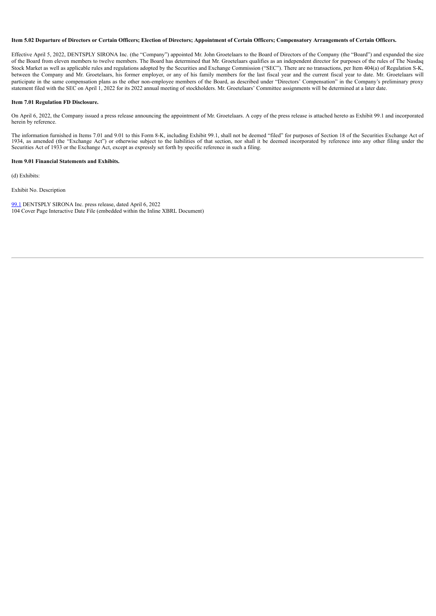#### Item 5.02 Departure of Directors or Certain Officers; Election of Directors; Appointment of Certain Officers; Compensatory Arrangements of Certain Officers.

Effective April 5, 2022, DENTSPLY SIRONA Inc. (the "Company") appointed Mr. John Groetelaars to the Board of Directors of the Company (the "Board") and expanded the size of the Board from eleven members to twelve members. The Board has determined that Mr. Groetelaars qualifies as an independent director for purposes of the rules of The Nasdaq Stock Market as well as applicable rules and regulations adopted by the Securities and Exchange Commission ("SEC"). There are no transactions, per Item 404(a) of Regulation S-K, between the Company and Mr. Groetelaars, his former employer, or any of his family members for the last fiscal year and the current fiscal year to date. Mr. Groetelaars will participate in the same compensation plans as the other non-employee members of the Board, as described under "Directors' Compensation" in the Company's preliminary proxy statement filed with the SEC on April 1, 2022 for its 2022 annual meeting of stockholders. Mr. Groetelaars' Committee assignments will be determined at a later date.

#### **Item 7.01 Regulation FD Disclosure.**

On April 6, 2022, the Company issued a press release announcing the appointment of Mr. Groetelaars. A copy of the press release is attached hereto as Exhibit 99.1 and incorporated herein by reference.

The information furnished in Items 7.01 and 9.01 to this Form 8-K, including Exhibit 99.1, shall not be deemed "filed" for purposes of Section 18 of the Securities Exchange Act of 1934, as amended (the "Exchange Act") or otherwise subject to the liabilities of that section, nor shall it be deemed incorporated by reference into any other filing under the Securities Act of 1933 or the Exchange Act, except as expressly set forth by specific reference in such a filing.

#### **Item 9.01 Financial Statements and Exhibits.**

(d) Exhibits:

Exhibit No. Description

[99.1](#page-3-0) DENTSPLY SIRONA Inc. press release, dated April 6, 2022 104 Cover Page Interactive Date File (embedded within the Inline XBRL Document)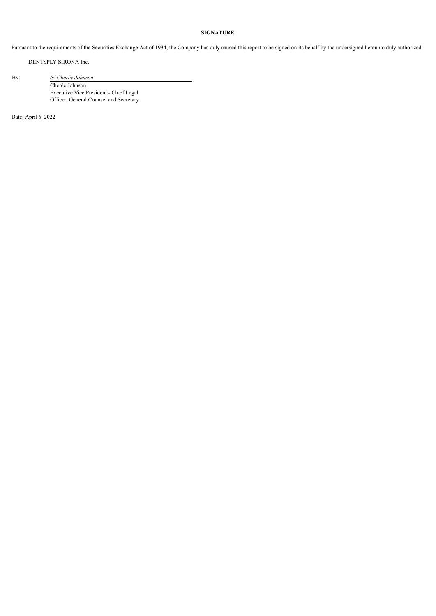#### **SIGNATURE**

Pursuant to the requirements of the Securities Exchange Act of 1934, the Company has duly caused this report to be signed on its behalf by the undersigned hereunto duly authorized.

DENTSPLY SIRONA Inc.

By: */s/ Cherée Johnson*

Cherée Johnson Executive Vice President - Chief Legal Officer, General Counsel and Secretary

Date: April 6, 2022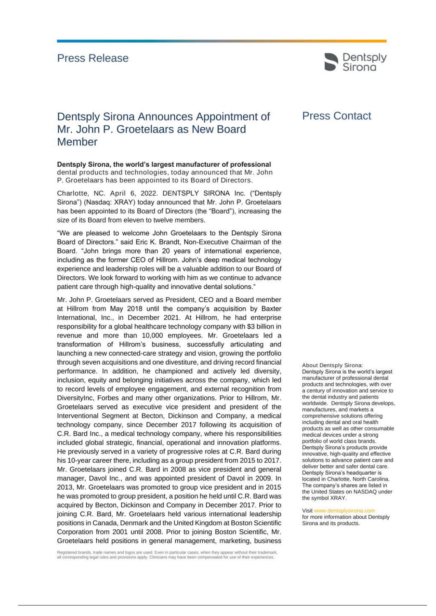## <span id="page-3-0"></span>**Press Release**



# Dentsply Sirona Announces Appointment of Mr. John P. Groetelaars as New Board Member

Dentsply Sirona, the world's largest manufacturer of professional dental products and technologies, today announced that Mr. John P. Groetelaars has been appointed to its Board of Directors.

Charlotte, NC. April 6, 2022. DENTSPLY SIRONA Inc. ("Dentsply Sirona") (Nasdaq: XRAY) today announced that Mr. John P. Groetelaars has been appointed to its Board of Directors (the "Board"), increasing the size of its Board from eleven to twelve members.

"We are pleased to welcome John Groetelaars to the Dentsply Sirona Board of Directors." said Eric K. Brandt, Non-Executive Chairman of the Board. "John brings more than 20 years of international experience, including as the former CEO of Hillrom. John's deep medical technology experience and leadership roles will be a valuable addition to our Board of Directors. We look forward to working with him as we continue to advance patient care through high-quality and innovative dental solutions."

Mr. John P. Groetelaars served as President, CEO and a Board member at Hillrom from May 2018 until the company's acquisition by Baxter International, Inc., in December 2021. At Hillrom, he had enterprise responsibility for a global healthcare technology company with \$3 billion in revenue and more than 10,000 employees. Mr. Groetelaars led a transformation of Hillrom's business, successfully articulating and launching a new connected-care strategy and vision, growing the portfolio through seven acquisitions and one divestiture, and driving record financial performance. In addition, he championed and actively led diversity, inclusion, equity and belonging initiatives across the company, which led to record levels of employee engagement, and external recognition from DiversityInc, Forbes and many other organizations. Prior to Hillrom, Mr. Groetelaars served as executive vice president and president of the Interventional Segment at Becton, Dickinson and Company, a medical technology company, since December 2017 following its acquisition of C.R. Bard Inc., a medical technology company, where his responsibilities included global strategic, financial, operational and innovation platforms. He previously served in a variety of progressive roles at C.R. Bard during his 10-year career there, including as a group president from 2015 to 2017. Mr. Groetelaars joined C.R. Bard in 2008 as vice president and general manager, Davol Inc., and was appointed president of Davol in 2009. In 2013, Mr. Groetelaars was promoted to group vice president and in 2015 he was promoted to group president, a position he held until C.R. Bard was acquired by Becton, Dickinson and Company in December 2017. Prior to joining C.R. Bard, Mr. Groetelaars held various international leadership positions in Canada, Denmark and the United Kingdom at Boston Scientific Corporation from 2001 until 2008. Prior to joining Boston Scientific, Mr. Groetelaars held positions in general management, marketing, business

**Press Contact** 

About Dentsply Sirona: Dentsply Sirona is the world's largest manufacturer of professional dental products and technologies, with over a century of innovation and service to the dental industry and patients worldwide. Dentsply Sirona develops, manufactures, and markets a comprehensive solutions offering including dental and oral health products as well as other consumable medical devices under a strong portfolio of world class brands. Dentsply Sirona's products provide innovative, high-quality and effective solutions to advance patient care and deliver better and safer dental care. Dentsply Sirona's headquarter is located in Charlotte, North Carolina. The company's shares are listed in the United States on NASDAQ under the symbol XRAY.

Visit www.dentsplysirona.com for more information about Dentsply Sirona and its products.

Registered brands, trade names and logos are used. Even in particular cases, when they appear without their trademark, all corresponding legal rules and provisions apply. Clinicians may have been compensated for use of their experiences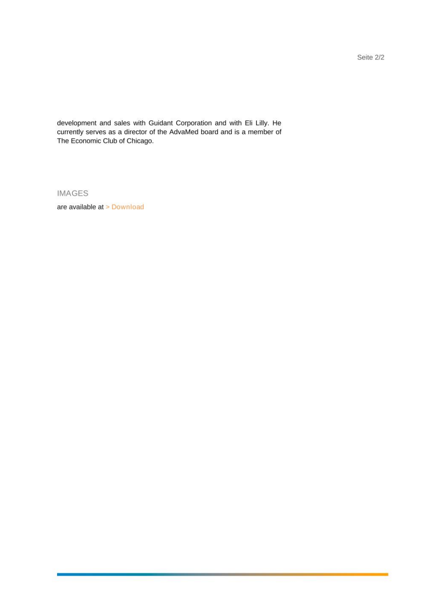Seite 2/2

development and sales with Guidant Corporation and with Eli Lilly. He currently serves as a director of the AdvaMed board and is a member of The Economic Club of Chicago.

**IMAGES** 

are available at > Download